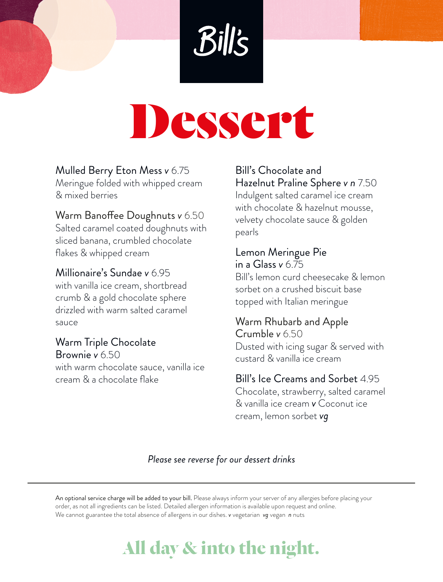# Dessert

### Mulled Berry Eton Mess *v* 6.75

Meringue folded with whipped cream & mixed berries

#### Warm Banoffee Doughnuts *v* 6.50

Salted caramel coated doughnuts with sliced banana, crumbled chocolate flakes & whipped cream

#### Millionaire's Sundae *v* 6.95

with vanilla ice cream, shortbread crumb & a gold chocolate sphere drizzled with warm salted caramel sauce

Warm Triple Chocolate Brownie *v* 6.50 with warm chocolate sauce, vanilla ice cream & a chocolate flake

#### Bill's Chocolate and Hazelnut Praline Sphere *v n* 7.50

Indulgent salted caramel ice cream with chocolate & hazelnut mousse, velvety chocolate sauce & golden pearls

# Lemon Meringue Pie

in a Glass *v* 6.75 Bill's lemon curd cheesecake & lemon sorbet on a crushed biscuit base topped with Italian meringue

## Warm Rhubarb and Apple Crumble *v* 6.50

Dusted with icing sugar & served with custard & vanilla ice cream

#### Bill's Ice Creams and Sorbet 4.95

Chocolate, strawberry, salted caramel & vanilla ice cream *v* Coconut ice cream, lemon sorbet *vg*

#### *Please see reverse for our dessert drinks*

An optional service charge will be added to your bill. Please always inform your server of any allergies before placing your order, as not all ingredients can be listed. Detailed allergen information is available upon request and online. We cannot guarantee the total absence of allergens in our dishes. *v* vegetarian *vg* vegan *n* nuts

# **All day & into the night.**